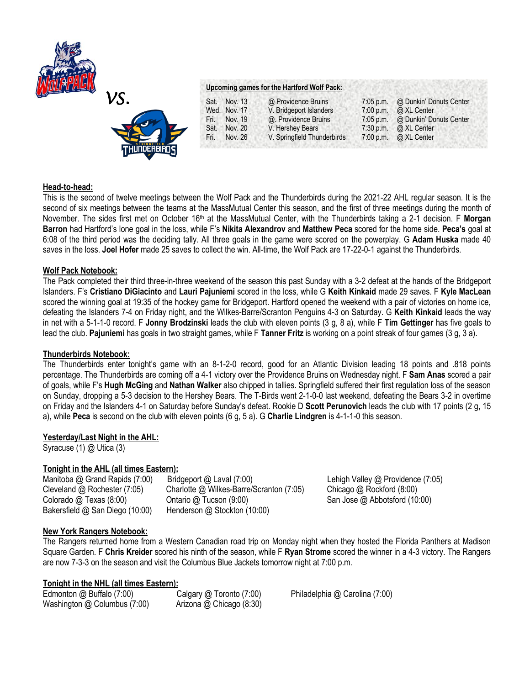



## **Upcoming games for the Hartford Wolf Pack:**

| Nov. 13<br>Sat. | @ Providence Bruins         | $7:05$ p.m. | @ Dunkin' Donuts Center           |
|-----------------|-----------------------------|-------------|-----------------------------------|
| Wed. Nov. 17    | V. Bridgeport Islanders     | 7:00 p.m.   | @ XL Center                       |
| Nov. 19<br>Fri. | @. Providence Bruins        |             | 7:05 p.m. @ Dunkin' Donuts Center |
| Nov. 20<br>Sat. | V. Hershey Bears            | $7:30$ p.m. | @ XL Center                       |
| Nov. 26<br>Fri. | V. Springfield Thunderbirds | $7:00$ p.m. | @ XL Center                       |

## **Head-to-head:**

This is the second of twelve meetings between the Wolf Pack and the Thunderbirds during the 2021-22 AHL regular season. It is the second of six meetings between the teams at the MassMutual Center this season, and the first of three meetings during the month of November. The sides first met on October 16th at the MassMutual Center, with the Thunderbirds taking a 2-1 decision. F **Morgan Barron** had Hartford's lone goal in the loss, while F's **Nikita Alexandrov** and **Matthew Peca** scored for the home side. **Peca's** goal at 6:08 of the third period was the deciding tally. All three goals in the game were scored on the powerplay. G **Adam Huska** made 40 saves in the loss. **Joel Hofer** made 25 saves to collect the win. All-time, the Wolf Pack are 17-22-0-1 against the Thunderbirds.

## **Wolf Pack Notebook:**

The Pack completed their third three-in-three weekend of the season this past Sunday with a 3-2 defeat at the hands of the Bridgeport Islanders. F's **Cristiano DiGiacinto** and **Lauri Pajuniemi** scored in the loss, while G **Keith Kinkaid** made 29 saves. F **Kyle MacLean**  scored the winning goal at 19:35 of the hockey game for Bridgeport. Hartford opened the weekend with a pair of victories on home ice, defeating the Islanders 7-4 on Friday night, and the Wilkes-Barre/Scranton Penguins 4-3 on Saturday. G **Keith Kinkaid** leads the way in net with a 5-1-1-0 record. F **Jonny Brodzinski** leads the club with eleven points (3 g, 8 a), while F **Tim Gettinger** has five goals to lead the club. **Pajuniemi** has goals in two straight games, while F **Tanner Fritz** is working on a point streak of four games (3 g, 3 a).

## **Thunderbirds Notebook:**

The Thunderbirds enter tonight's game with an 8-1-2-0 record, good for an Atlantic Division leading 18 points and .818 points percentage. The Thunderbirds are coming off a 4-1 victory over the Providence Bruins on Wednesday night. F **Sam Anas** scored a pair of goals, while F's **Hugh McGing** and **Nathan Walker** also chipped in tallies. Springfield suffered their first regulation loss of the season on Sunday, dropping a 5-3 decision to the Hershey Bears. The T-Birds went 2-1-0-0 last weekend, defeating the Bears 3-2 in overtime on Friday and the Islanders 4-1 on Saturday before Sunday's defeat. Rookie D **Scott Perunovich** leads the club with 17 points (2 g, 15 a), while **Peca** is second on the club with eleven points (6 g, 5 a). G **Charlie Lindgren** is 4-1-1-0 this season.

# **Yesterday/Last Night in the AHL:**

Syracuse (1) @ Utica (3)

# **Tonight in the AHL (all times Eastern):**

Manitoba @ Grand Rapids (7:00) Bridgeport @ Laval (7:00) Lehigh Valley @ Providence (7:05)<br>Cleveland @ Rochester (7:05) Charlotte @ Wilkes-Barre/Scranton (7:05) Chicago @ Rockford (8:00) Charlotte @ Wilkes-Barre/Scranton (7:05) Chicago @ Rockford (8:00) Colorado @ Texas (8:00) Ontario @ Tucson (9:00) San Jose @ Abbotsford (10:00) Bakersfield @ San Diego (10:00) Henderson @ Stockton (10:00)

# **New York Rangers Notebook:**

The Rangers returned home from a Western Canadian road trip on Monday night when they hosted the Florida Panthers at Madison Square Garden. F **Chris Kreider** scored his ninth of the season, while F **Ryan Strome** scored the winner in a 4-3 victory. The Rangers are now 7-3-3 on the season and visit the Columbus Blue Jackets tomorrow night at 7:00 p.m.

# **Tonight in the NHL (all times Eastern):**

Edmonton @ Buffalo (7:00)Calgary @ Toronto (7:00) Philadelphia @ Carolina (7:00) Washington @ Columbus (7:00) Arizona @ Chicago (8:30)